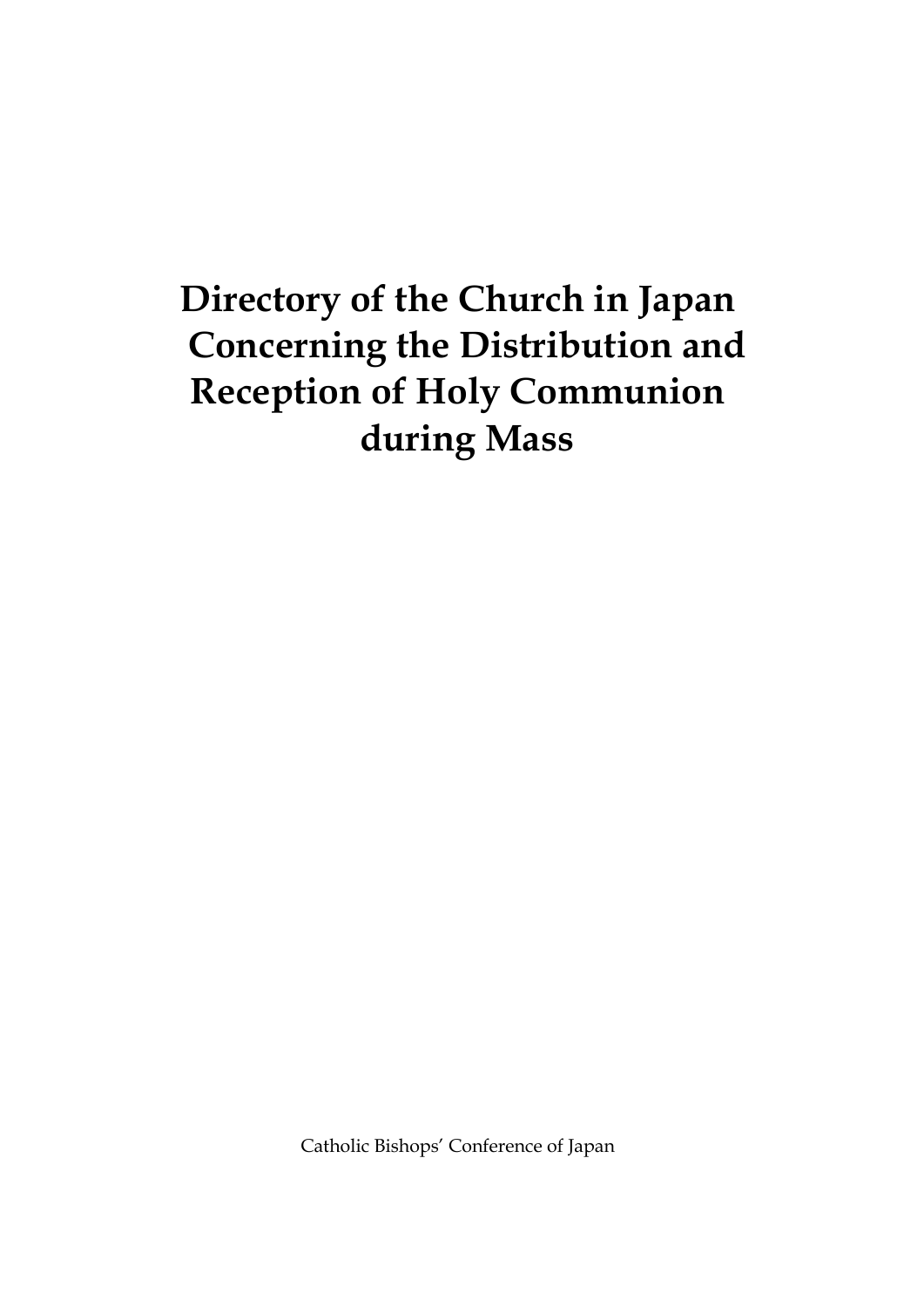# **Directory of the Church in Japan Concerning the Distribution and Reception of Holy Communion during Mass**

Catholic Bishops' Conference of Japan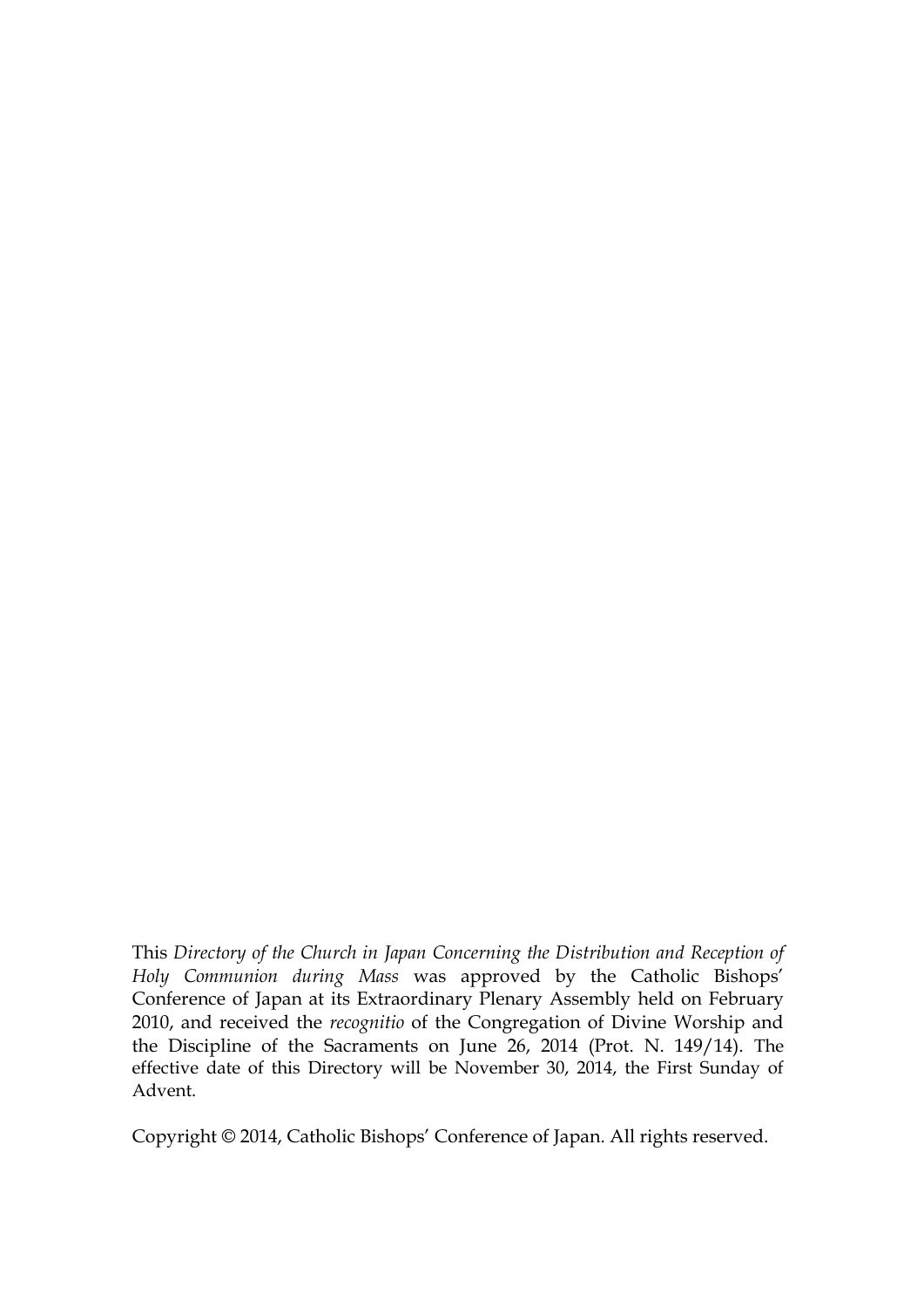This *Directory of the Church in Japan Concerning the Distribution and Reception of Holy Communion during Mass* was approved by the Catholic Bishops' Conference of Japan at its Extraordinary Plenary Assembly held on February 2010, and received the *recognitio* of the Congregation of Divine Worship and the Discipline of the Sacraments on June 26, 2014 (Prot. N. 149/14). The effective date of this Directory will be November 30, 2014, the First Sunday of Advent.

Copyright © 2014, Catholic Bishops' Conference of Japan. All rights reserved.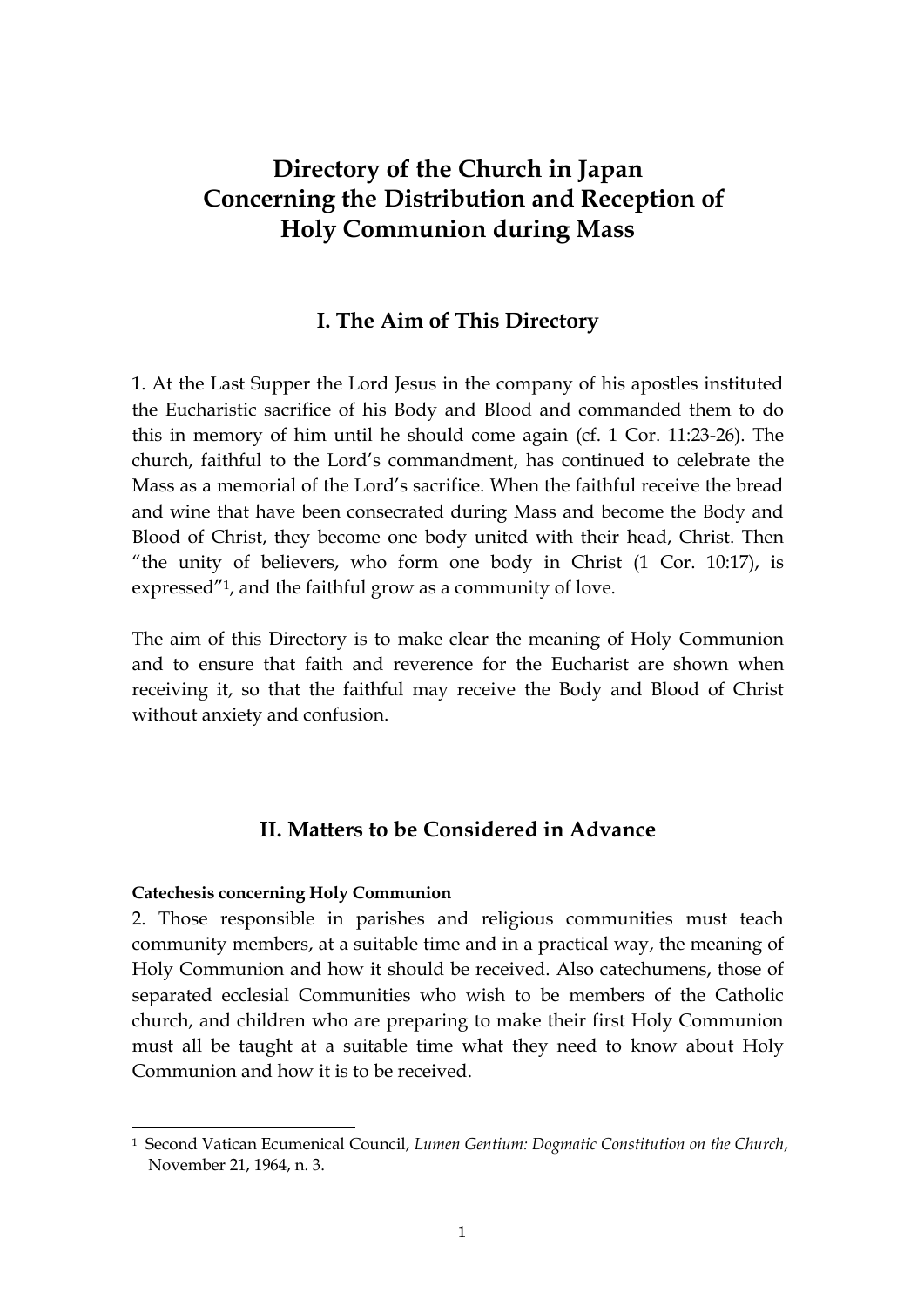## **Directory of the Church in Japan Concerning the Distribution and Reception of Holy Communion during Mass**

## **I. The Aim of This Directory**

1. At the Last Supper the Lord Jesus in the company of his apostles instituted the Eucharistic sacrifice of his Body and Blood and commanded them to do this in memory of him until he should come again (cf. 1 Cor. 11:23-26). The church, faithful to the Lord's commandment, has continued to celebrate the Mass as a memorial of the Lord's sacrifice. When the faithful receive the bread and wine that have been consecrated during Mass and become the Body and Blood of Christ, they become one body united with their head, Christ. Then "the unity of believers, who form one body in Christ (1 Cor. 10:17), is expressed"1, and the faithful grow as a community of love.

The aim of this Directory is to make clear the meaning of Holy Communion and to ensure that faith and reverence for the Eucharist are shown when receiving it, so that the faithful may receive the Body and Blood of Christ without anxiety and confusion.

## **II. Matters to be Considered in Advance**

#### **Catechesis concerning Holy Communion**

 $\overline{a}$ 

2. Those responsible in parishes and religious communities must teach community members, at a suitable time and in a practical way, the meaning of Holy Communion and how it should be received. Also catechumens, those of separated ecclesial Communities who wish to be members of the Catholic church, and children who are preparing to make their first Holy Communion must all be taught at a suitable time what they need to know about Holy Communion and how it is to be received.

<sup>1</sup> Second Vatican Ecumenical Council, *Lumen Gentium: Dogmatic Constitution on the Church*, November 21, 1964, n. 3.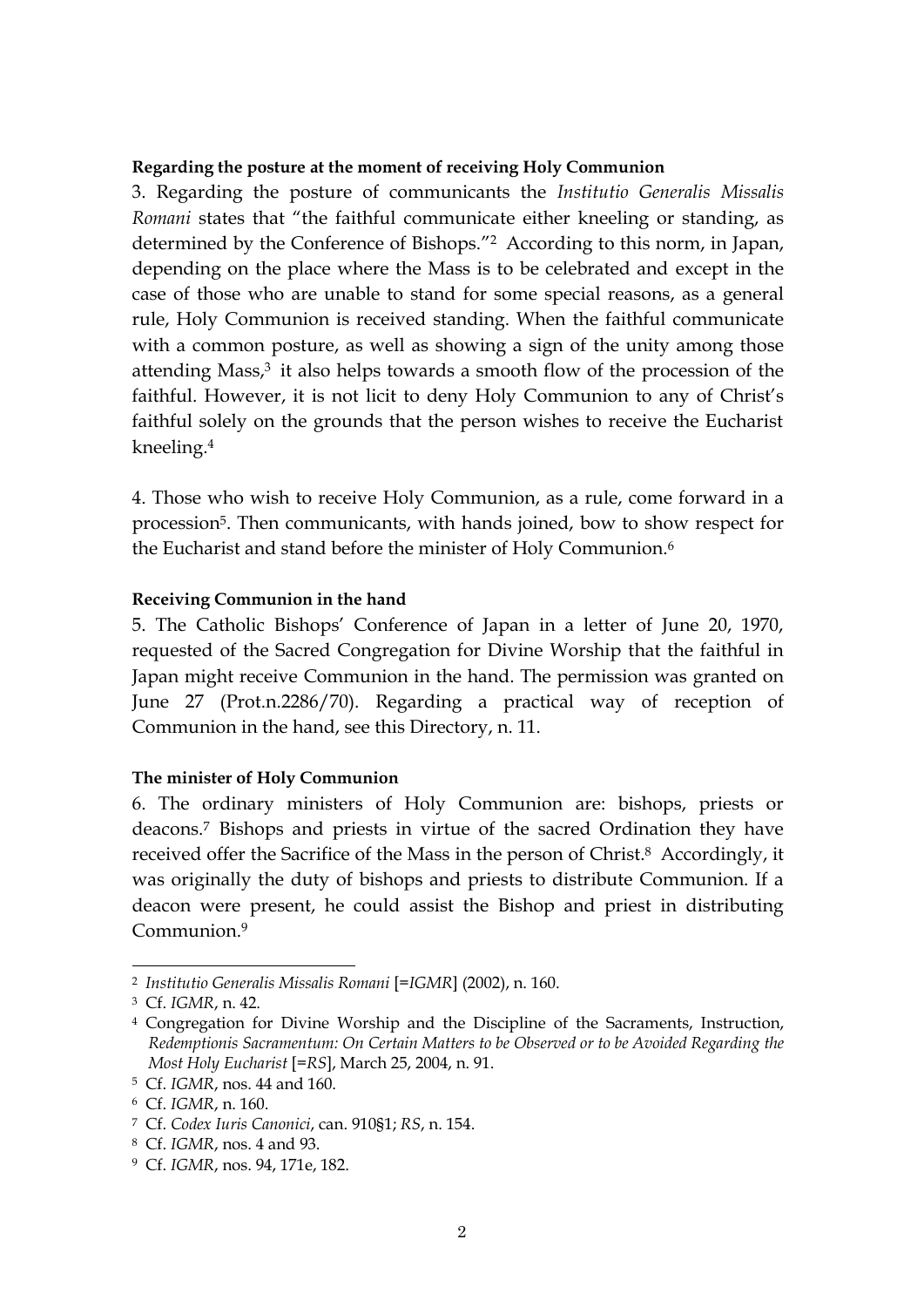#### **Regarding the posture at the moment of receiving Holy Communion**

3. Regarding the posture of communicants the *Institutio Generalis Missalis Romani* states that "the faithful communicate either kneeling or standing, as determined by the Conference of Bishops."<sup>2</sup> According to this norm, in Japan, depending on the place where the Mass is to be celebrated and except in the case of those who are unable to stand for some special reasons, as a general rule, Holy Communion is received standing. When the faithful communicate with a common posture, as well as showing a sign of the unity among those attending Mass,<sup>3</sup> it also helps towards a smooth flow of the procession of the faithful. However, it is not licit to deny Holy Communion to any of Christ's faithful solely on the grounds that the person wishes to receive the Eucharist kneeling.<sup>4</sup>

4. Those who wish to receive Holy Communion, as a rule, come forward in a procession5. Then communicants, with hands joined, bow to show respect for the Eucharist and stand before the minister of Holy Communion. 6

#### **Receiving Communion in the hand**

5. The Catholic Bishops' Conference of Japan in a letter of June 20, 1970, requested of the Sacred Congregation for Divine Worship that the faithful in Japan might receive Communion in the hand. The permission was granted on June 27 (Prot.n.2286/70). Regarding a practical way of reception of Communion in the hand, see this Directory, n. 11.

#### **The minister of Holy Communion**

6. The ordinary ministers of Holy Communion are: bishops, priests or deacons.<sup>7</sup> Bishops and priests in virtue of the sacred Ordination they have received offer the Sacrifice of the Mass in the person of Christ.<sup>8</sup> Accordingly, it was originally the duty of bishops and priests to distribute Communion. If a deacon were present, he could assist the Bishop and priest in distributing Communion. 9

<sup>2</sup> *Institutio Generalis Missalis Romani* [=*IGMR*] (2002), n. 160.

<sup>3</sup> Cf. *IGMR*, n. 42.

<sup>4</sup> Congregation for Divine Worship and the Discipline of the Sacraments, Instruction, *Redemptionis Sacramentum: On Certain Matters to be Observed or to be Avoided Regarding the Most Holy Eucharist* [=*RS*], March 25, 2004, n. 91.

<sup>5</sup> Cf. *IGMR*, nos. 44 and 160.

<sup>6</sup> Cf. *IGMR*, n. 160.

<sup>7</sup> Cf. *Codex Iuris Canonici*, can. 910§1; *RS*, n. 154.

<sup>8</sup> Cf. *IGMR*, nos. 4 and 93.

<sup>9</sup> Cf. *IGMR*, nos. 94, 171e, 182.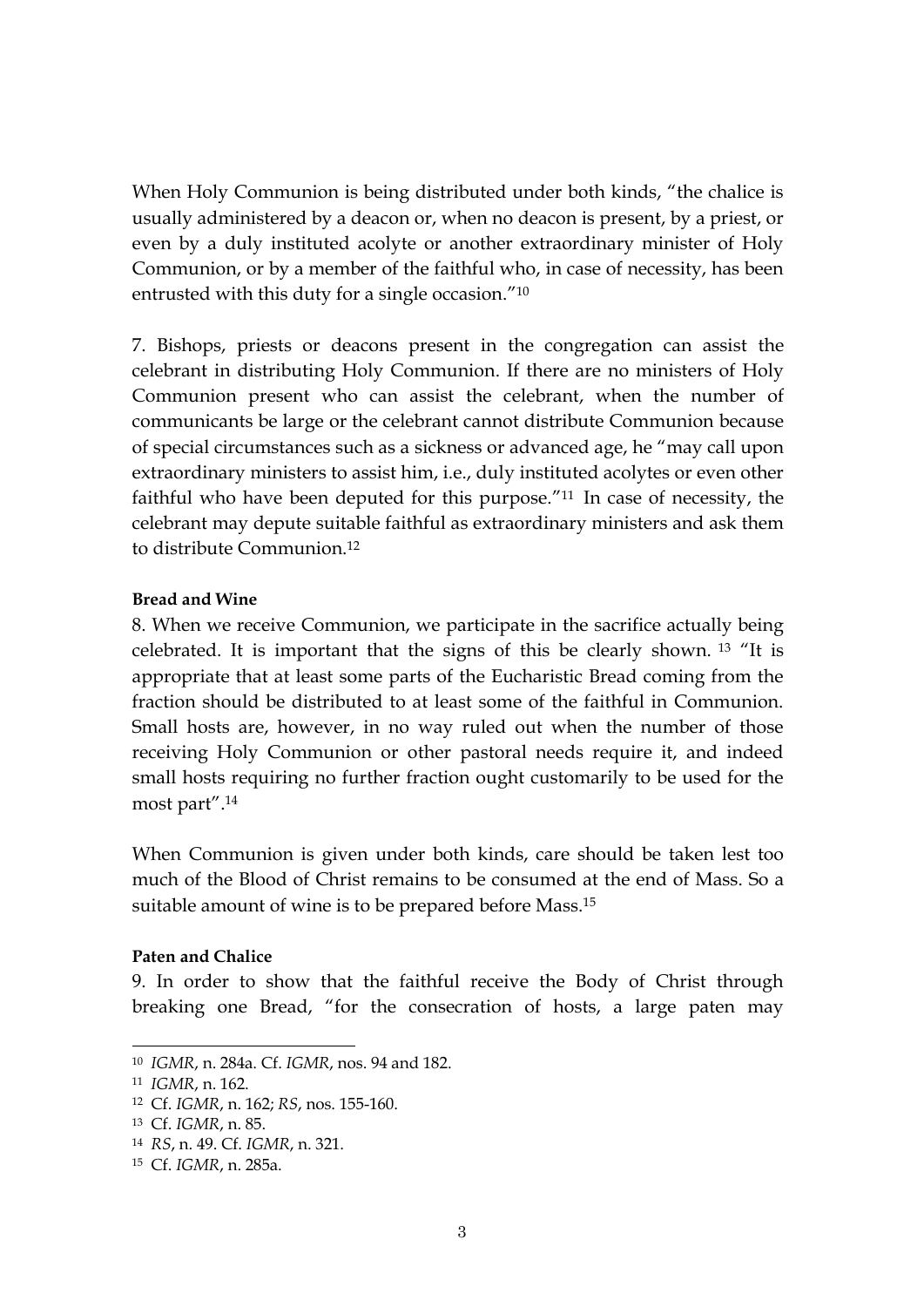When Holy Communion is being distributed under both kinds, "the chalice is usually administered by a deacon or, when no deacon is present, by a priest, or even by a duly instituted acolyte or another extraordinary minister of Holy Communion, or by a member of the faithful who, in case of necessity, has been entrusted with this duty for a single occasion."<sup>10</sup>

7. Bishops, priests or deacons present in the congregation can assist the celebrant in distributing Holy Communion. If there are no ministers of Holy Communion present who can assist the celebrant, when the number of communicants be large or the celebrant cannot distribute Communion because of special circumstances such as a sickness or advanced age, he "may call upon extraordinary ministers to assist him, i.e., duly instituted acolytes or even other faithful who have been deputed for this purpose."<sup>11</sup> In case of necessity, the celebrant may depute suitable faithful as extraordinary ministers and ask them to distribute Communion.<sup>12</sup>

#### **Bread and Wine**

8. When we receive Communion, we participate in the sacrifice actually being celebrated. It is important that the signs of this be clearly shown. <sup>13</sup> "It is appropriate that at least some parts of the Eucharistic Bread coming from the fraction should be distributed to at least some of the faithful in Communion. Small hosts are, however, in no way ruled out when the number of those receiving Holy Communion or other pastoral needs require it, and indeed small hosts requiring no further fraction ought customarily to be used for the most part". 14

When Communion is given under both kinds, care should be taken lest too much of the Blood of Christ remains to be consumed at the end of Mass. So a suitable amount of wine is to be prepared before Mass.<sup>15</sup>

#### **Paten and Chalice**

9. In order to show that the faithful receive the Body of Christ through breaking one Bread, "for the consecration of hosts, a large paten may

<sup>10</sup> *IGMR*, n. 284a. Cf. *IGMR*, nos. 94 and 182.

<sup>11</sup> *IGMR*, n. 162.

<sup>12</sup> Cf. *IGMR*, n. 162; *RS*, nos. 155-160.

<sup>13</sup> Cf. *IGMR*, n. 85.

<sup>14</sup> *RS*, n. 49. Cf. *IGMR*, n. 321.

<sup>15</sup> Cf. *IGMR*, n. 285a.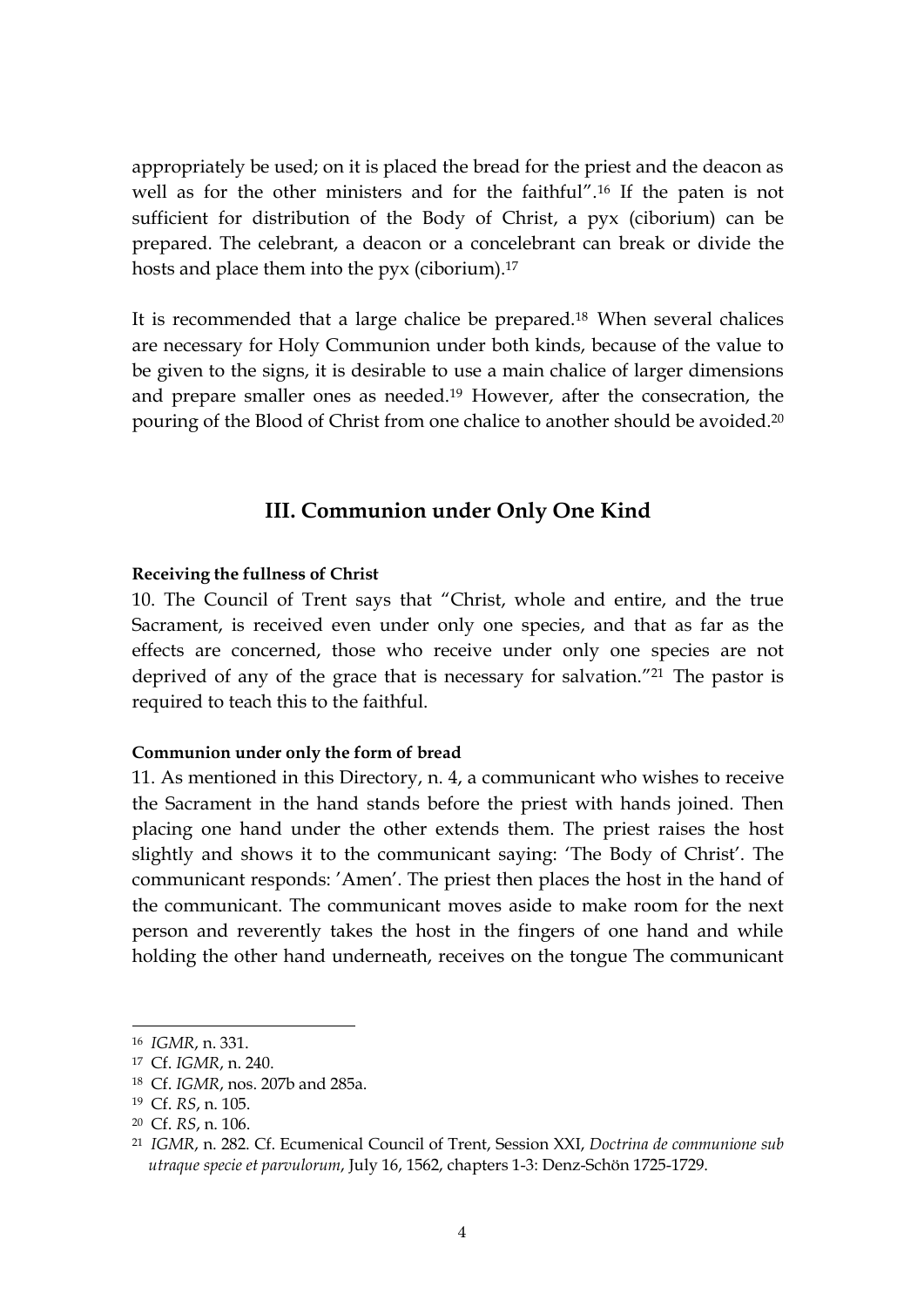appropriately be used; on it is placed the bread for the priest and the deacon as well as for the other ministers and for the faithful". <sup>16</sup> If the paten is not sufficient for distribution of the Body of Christ, a pyx (ciborium) can be prepared. The celebrant, a deacon or a concelebrant can break or divide the hosts and place them into the pyx (ciborium).<sup>17</sup>

It is recommended that a large chalice be prepared.<sup>18</sup> When several chalices are necessary for Holy Communion under both kinds, because of the value to be given to the signs, it is desirable to use a main chalice of larger dimensions and prepare smaller ones as needed.<sup>19</sup> However, after the consecration, the pouring of the Blood of Christ from one chalice to another should be avoided. 20

## **III. Communion under Only One Kind**

#### **Receiving the fullness of Christ**

10. The Council of Trent says that "Christ, whole and entire, and the true Sacrament, is received even under only one species, and that as far as the effects are concerned, those who receive under only one species are not deprived of any of the grace that is necessary for salvation.<sup>"21</sup> The pastor is required to teach this to the faithful.

#### **Communion under only the form of bread**

11. As mentioned in this Directory, n. 4, a communicant who wishes to receive the Sacrament in the hand stands before the priest with hands joined. Then placing one hand under the other extends them. The priest raises the host slightly and shows it to the communicant saying: 'The Body of Christ'. The communicant responds: 'Amen'. The priest then places the host in the hand of the communicant. The communicant moves aside to make room for the next person and reverently takes the host in the fingers of one hand and while holding the other hand underneath, receives on the tongue The communicant

<sup>16</sup> *IGMR*, n. 331.

<sup>17</sup> Cf. *IGMR*, n. 240.

<sup>18</sup> Cf. *IGMR*, nos. 207b and 285a.

<sup>19</sup> Cf. *RS*, n. 105.

<sup>20</sup> Cf. *RS*, n. 106.

<sup>21</sup> *IGMR*, n. 282. Cf. Ecumenical Council of Trent, Session XXI, *Doctrina de communione sub utraque specie et parvulorum*, July 16, 1562, chapters 1-3: Denz-Schön 1725-1729.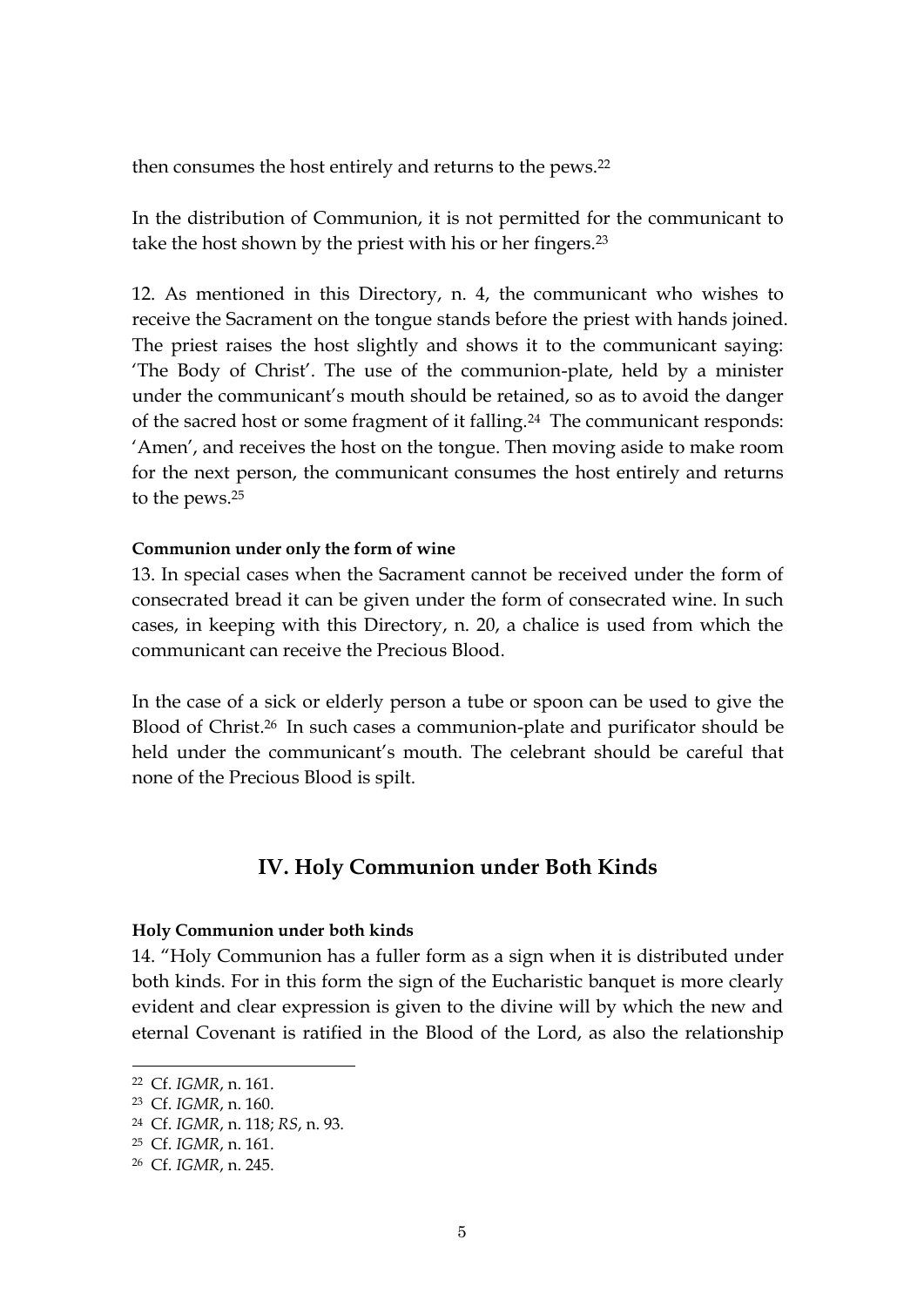then consumes the host entirely and returns to the pews.<sup>22</sup>

In the distribution of Communion, it is not permitted for the communicant to take the host shown by the priest with his or her fingers.<sup>23</sup>

12. As mentioned in this Directory, n. 4, the communicant who wishes to receive the Sacrament on the tongue stands before the priest with hands joined. The priest raises the host slightly and shows it to the communicant saying: 'The Body of Christ'. The use of the communion-plate, held by a minister under the communicant's mouth should be retained, so as to avoid the danger of the sacred host or some fragment of it falling.<sup>24</sup> The communicant responds: 'Amen', and receives the host on the tongue. Then moving aside to make room for the next person, the communicant consumes the host entirely and returns to the pews.<sup>25</sup>

#### **Communion under only the form of wine**

13. In special cases when the Sacrament cannot be received under the form of consecrated bread it can be given under the form of consecrated wine. In such cases, in keeping with this Directory, n. 20, a chalice is used from which the communicant can receive the Precious Blood.

In the case of a sick or elderly person a tube or spoon can be used to give the Blood of Christ. <sup>26</sup> In such cases a communion-plate and purificator should be held under the communicant's mouth. The celebrant should be careful that none of the Precious Blood is spilt.

## **IV. Holy Communion under Both Kinds**

#### **Holy Communion under both kinds**

14. "Holy Communion has a fuller form as a sign when it is distributed under both kinds. For in this form the sign of the Eucharistic banquet is more clearly evident and clear expression is given to the divine will by which the new and eternal Covenant is ratified in the Blood of the Lord, as also the relationship

<sup>22</sup> Cf. *IGMR*, n. 161.

<sup>23</sup> Cf. *IGMR*, n. 160.

<sup>24</sup> Cf. *IGMR*, n. 118; *RS*, n. 93.

<sup>25</sup> Cf. *IGMR*, n. 161.

<sup>26</sup> Cf. *IGMR*, n. 245.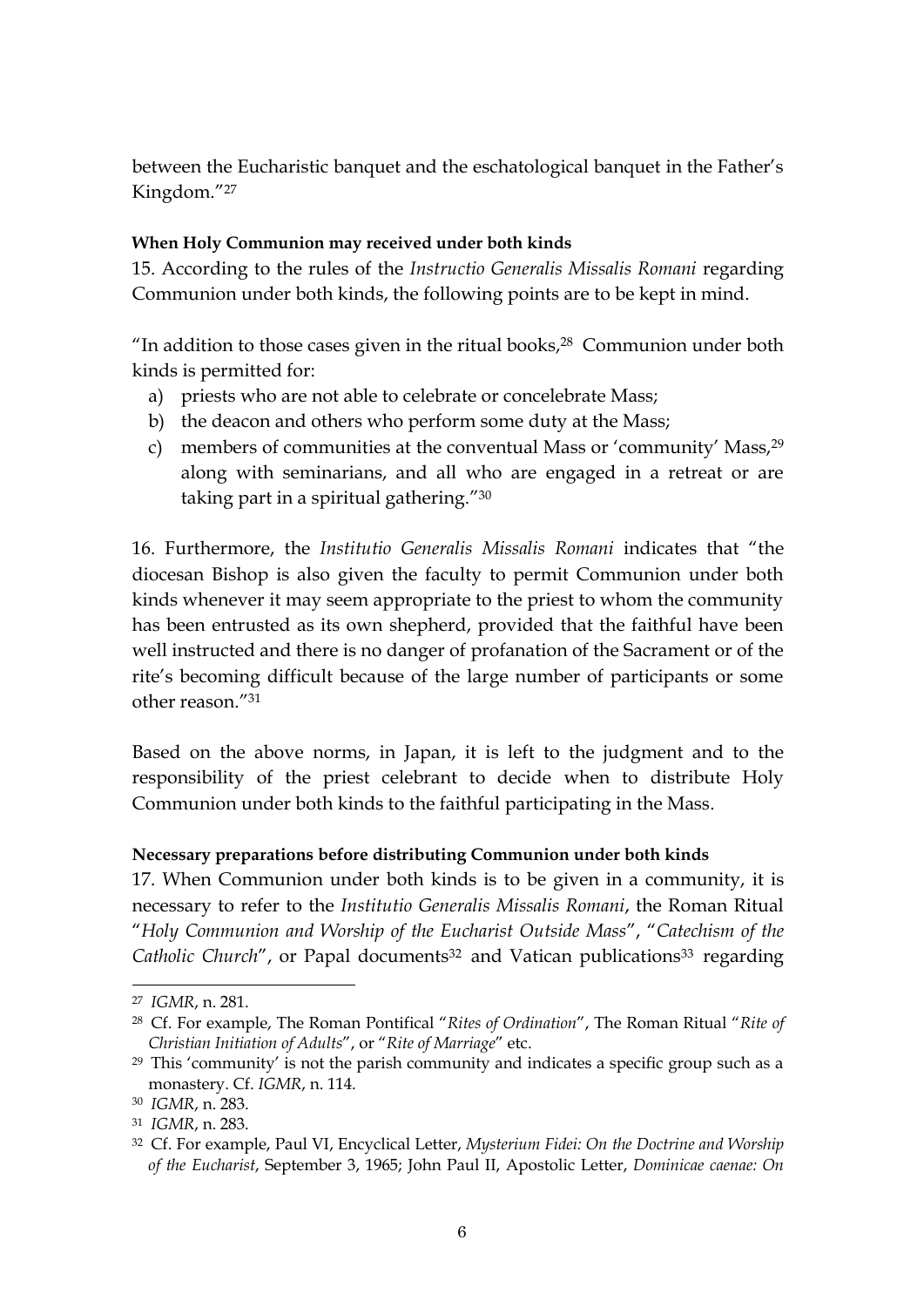between the Eucharistic banquet and the eschatological banquet in the Father's Kingdom."<sup>27</sup>

## **When Holy Communion may received under both kinds**

15. According to the rules of the *Instructio Generalis Missalis Romani* regarding Communion under both kinds, the following points are to be kept in mind.

"In addition to those cases given in the ritual books, $28$  Communion under both kinds is permitted for:

- a) priests who are not able to celebrate or concelebrate Mass;
- b) the deacon and others who perform some duty at the Mass;
- c) members of communities at the conventual Mass or 'community' Mass,<sup>29</sup> along with seminarians, and all who are engaged in a retreat or are taking part in a spiritual gathering."<sup>30</sup>

16. Furthermore, the *Institutio Generalis Missalis Romani* indicates that "the diocesan Bishop is also given the faculty to permit Communion under both kinds whenever it may seem appropriate to the priest to whom the community has been entrusted as its own shepherd, provided that the faithful have been well instructed and there is no danger of profanation of the Sacrament or of the rite's becoming difficult because of the large number of participants or some other reason."<sup>31</sup>

Based on the above norms, in Japan, it is left to the judgment and to the responsibility of the priest celebrant to decide when to distribute Holy Communion under both kinds to the faithful participating in the Mass.

## **Necessary preparations before distributing Communion under both kinds**

17. When Communion under both kinds is to be given in a community, it is necessary to refer to the *Institutio Generalis Missalis Romani*, the Roman Ritual "*Holy Communion and Worship of the Eucharist Outside Mass*", "*Catechism of the*  Catholic Church", or Papal documents<sup>32</sup> and Vatican publications<sup>33</sup> regarding

<sup>27</sup> *IGMR*, n. 281.

<sup>28</sup> Cf. For example, The Roman Pontifical "*Rites of Ordination*", The Roman Ritual "*Rite of Christian Initiation of Adults*", or "*Rite of Marriage*" etc.

<sup>29</sup> This 'community' is not the parish community and indicates a specific group such as a monastery. Cf. *IGMR*, n. 114.

<sup>30</sup> *IGMR*, n. 283.

<sup>31</sup> *IGMR*, n. 283.

<sup>32</sup> Cf. For example, Paul VI, Encyclical Letter, *Mysterium Fidei: On the Doctrine and Worship of the Eucharist*, September 3, 1965; John Paul II, Apostolic Letter, *Dominicae caenae: On*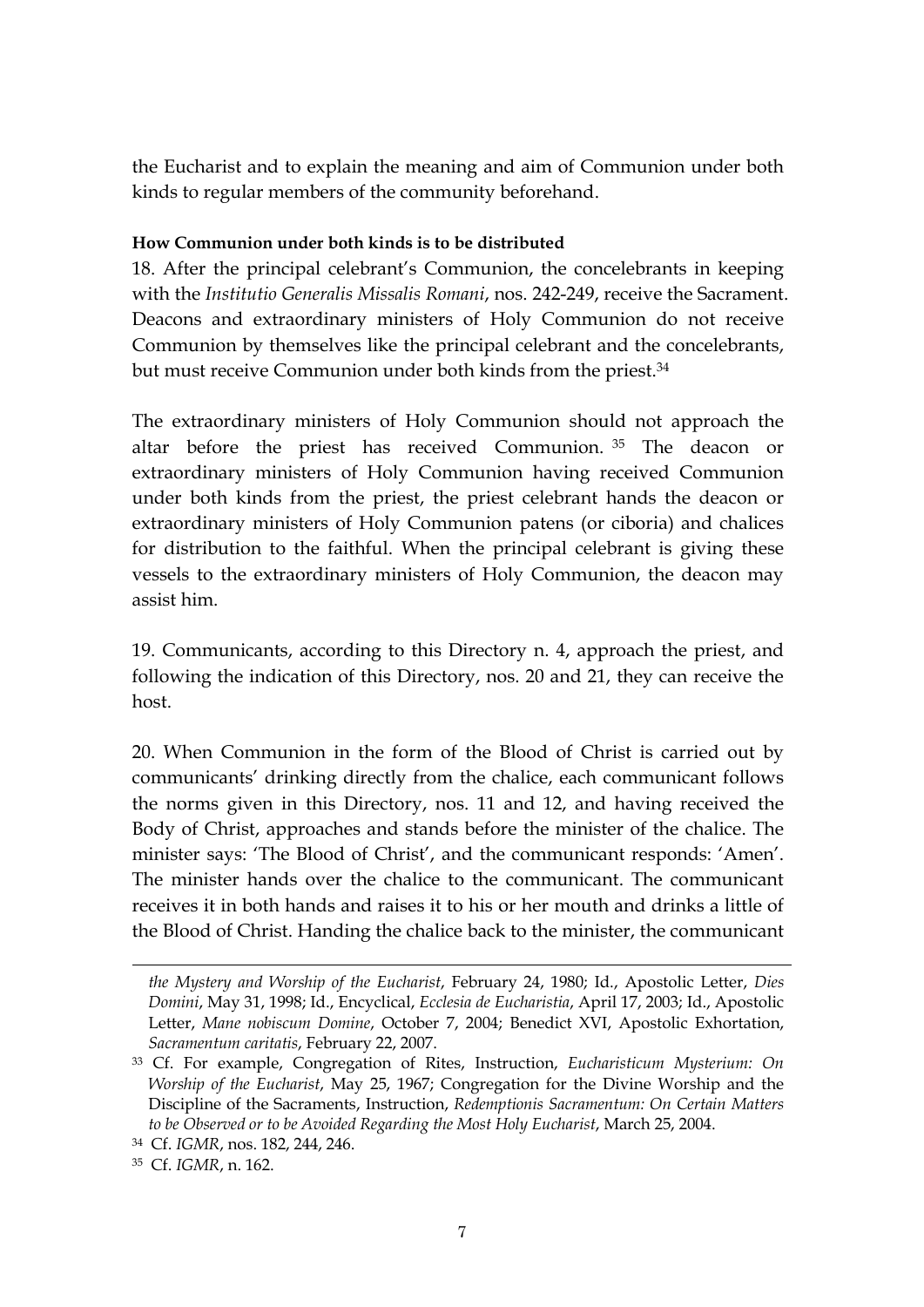the Eucharist and to explain the meaning and aim of Communion under both kinds to regular members of the community beforehand.

### **How Communion under both kinds is to be distributed**

18. After the principal celebrant's Communion, the concelebrants in keeping with the *Institutio Generalis Missalis Romani*, nos. 242-249, receive the Sacrament. Deacons and extraordinary ministers of Holy Communion do not receive Communion by themselves like the principal celebrant and the concelebrants, but must receive Communion under both kinds from the priest.<sup>34</sup>

The extraordinary ministers of Holy Communion should not approach the altar before the priest has received Communion. <sup>35</sup> The deacon or extraordinary ministers of Holy Communion having received Communion under both kinds from the priest, the priest celebrant hands the deacon or extraordinary ministers of Holy Communion patens (or ciboria) and chalices for distribution to the faithful. When the principal celebrant is giving these vessels to the extraordinary ministers of Holy Communion, the deacon may assist him.

19. Communicants, according to this Directory n. 4, approach the priest, and following the indication of this Directory, nos. 20 and 21, they can receive the host.

20. When Communion in the form of the Blood of Christ is carried out by communicants' drinking directly from the chalice, each communicant follows the norms given in this Directory, nos. 11 and 12, and having received the Body of Christ, approaches and stands before the minister of the chalice. The minister says: 'The Blood of Christ', and the communicant responds: 'Amen'. The minister hands over the chalice to the communicant. The communicant receives it in both hands and raises it to his or her mouth and drinks a little of the Blood of Christ. Handing the chalice back to the minister, the communicant

*the Mystery and Worship of the Eucharist*, February 24, 1980; Id., Apostolic Letter, *Dies Domini*, May 31, 1998; Id., Encyclical, *Ecclesia de Eucharistia*, April 17, 2003; Id., Apostolic Letter, *Mane nobiscum Domine*, October 7, 2004; Benedict XVI, Apostolic Exhortation, *Sacramentum caritatis*, February 22, 2007.

<sup>33</sup> Cf. For example, Congregation of Rites, Instruction, *Eucharisticum Mysterium: On Worship of the Eucharist*, May 25, 1967; Congregation for the Divine Worship and the Discipline of the Sacraments, Instruction, *Redemptionis Sacramentum: On Certain Matters to be Observed or to be Avoided Regarding the Most Holy Eucharist*, March 25, 2004.

<sup>34</sup> Cf. *IGMR*, nos. 182, 244, 246.

<sup>35</sup> Cf. *IGMR*, n. 162.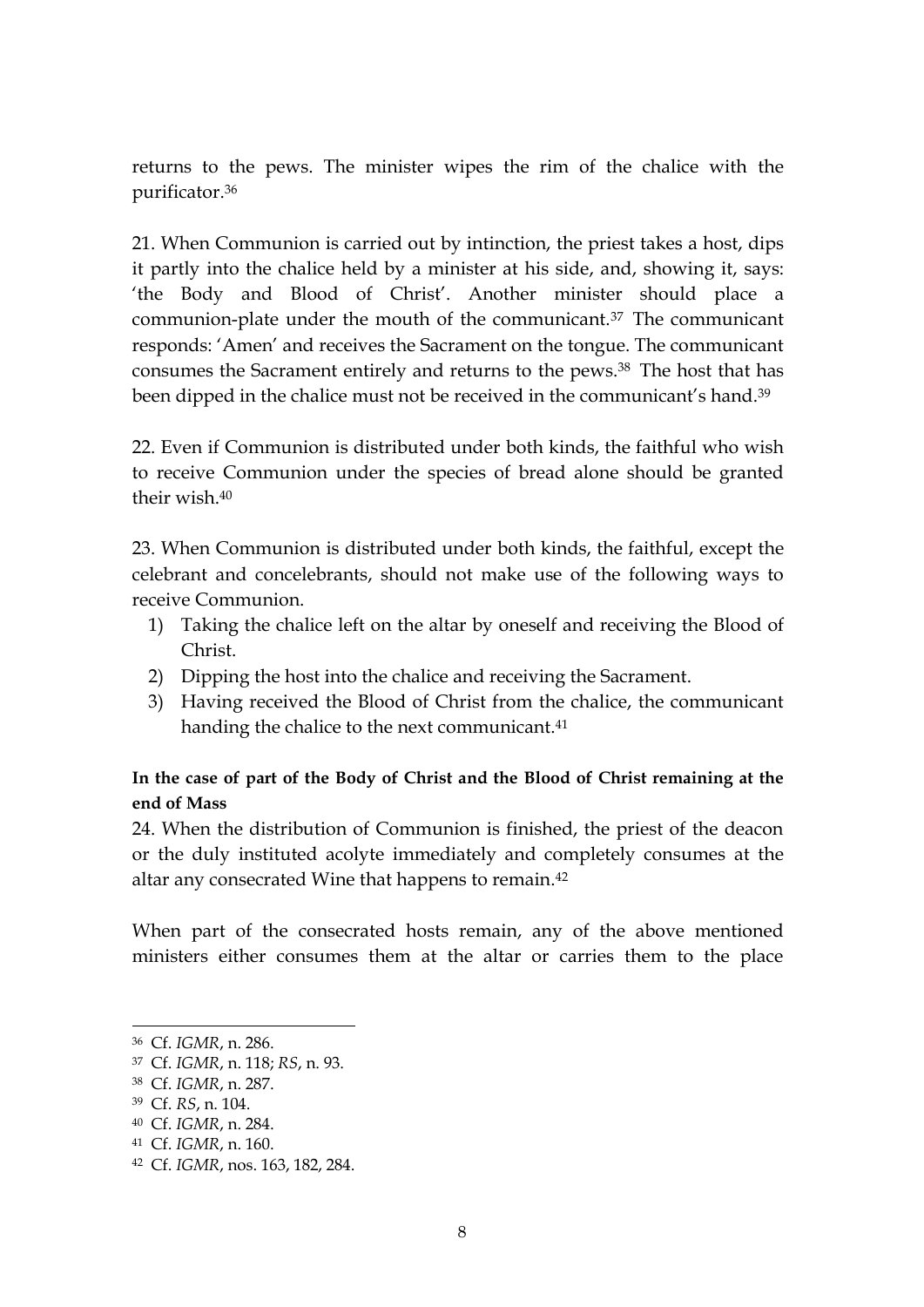returns to the pews. The minister wipes the rim of the chalice with the purificator.<sup>36</sup>

21. When Communion is carried out by intinction, the priest takes a host, dips it partly into the chalice held by a minister at his side, and, showing it, says: 'the Body and Blood of Christ'. Another minister should place a communion-plate under the mouth of the communicant.<sup>37</sup> The communicant responds: 'Amen' and receives the Sacrament on the tongue. The communicant consumes the Sacrament entirely and returns to the pews. <sup>38</sup> The host that has been dipped in the chalice must not be received in the communicant's hand.<sup>39</sup>

22. Even if Communion is distributed under both kinds, the faithful who wish to receive Communion under the species of bread alone should be granted their wish. 40

23. When Communion is distributed under both kinds, the faithful, except the celebrant and concelebrants, should not make use of the following ways to receive Communion.

- 1) Taking the chalice left on the altar by oneself and receiving the Blood of Christ.
- 2) Dipping the host into the chalice and receiving the Sacrament.
- 3) Having received the Blood of Christ from the chalice, the communicant handing the chalice to the next communicant.<sup>41</sup>

## **In the case of part of the Body of Christ and the Blood of Christ remaining at the end of Mass**

24. When the distribution of Communion is finished, the priest of the deacon or the duly instituted acolyte immediately and completely consumes at the altar any consecrated Wine that happens to remain. 42

When part of the consecrated hosts remain, any of the above mentioned ministers either consumes them at the altar or carries them to the place

<sup>36</sup> Cf. *IGMR*, n. 286.

<sup>37</sup> Cf. *IGMR*, n. 118; *RS*, n. 93.

<sup>38</sup> Cf. *IGMR*, n. 287.

<sup>39</sup> Cf. *RS*, n. 104.

<sup>40</sup> Cf. *IGMR*, n. 284.

<sup>41</sup> Cf. *IGMR*, n. 160.

<sup>42</sup> Cf. *IGMR*, nos. 163, 182, 284.